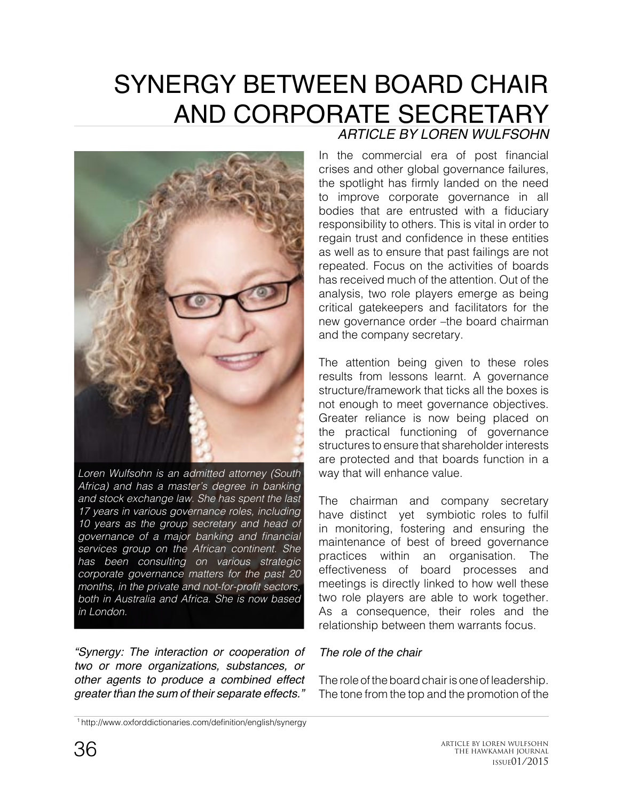# SYNERGY BETWEEN BOARD CHAIR AND CORPORATE SECRETARY *ARTICLE BY LOREN WULFSOHN*



*Loren Wulfsohn is an admitted attorney (South Africa) and has a master's degree in banking and stock exchange law. She has spent the last 17 years in various governance roles, including 10 years as the group secretary and head of*  governance of a major banking and financial *services group on the African continent. She has been consulting on various strategic corporate governance matters for the past 20*  months, in the private and not-for-profit sectors, *both in Australia and Africa. She is now based in London.*

*"Synergy: The interaction or cooperation of two or more organizations, substances, or other agents to produce a combined effect greater than the sum of their separate effects."*  1

In the commercial era of post financial crises and other global governance failures, the spotlight has firmly landed on the need to improve corporate governance in all bodies that are entrusted with a fiduciary responsibility to others. This is vital in order to regain trust and confidence in these entities as well as to ensure that past failings are not repeated. Focus on the activities of boards has received much of the attention. Out of the analysis, two role players emerge as being critical gatekeepers and facilitators for the new governance order –the board chairman and the company secretary.

The attention being given to these roles results from lessons learnt. A governance structure/framework that ticks all the boxes is not enough to meet governance objectives. Greater reliance is now being placed on the practical functioning of governance structures to ensure that shareholder interests are protected and that boards function in a way that will enhance value.

The chairman and company secretary have distinct yet symbiotic roles to fulfil in monitoring, fostering and ensuring the maintenance of best of breed governance practices within an organisation. The effectiveness of board processes and meetings is directly linked to how well these two role players are able to work together. As a consequence, their roles and the relationship between them warrants focus.

#### *The role of the chair*

The role of the board chair is one of leadership. The tone from the top and the promotion of the

http://www.oxforddictionaries.com/definition/english/synergy <sup>1</sup>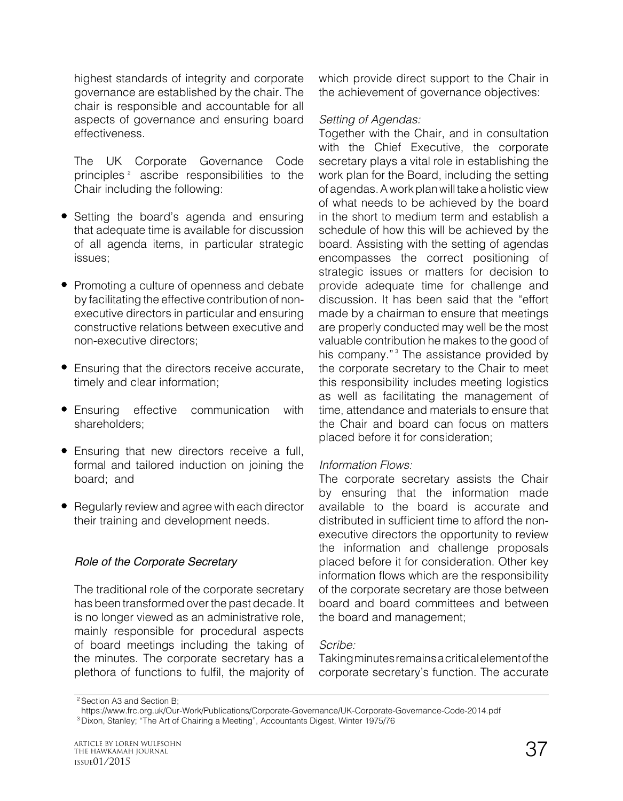highest standards of integrity and corporate governance are established by the chair. The chair is responsible and accountable for all aspects of governance and ensuring board effectiveness.

The UK Corporate Governance Code principles  $2$  ascribe responsibilities to the Chair including the following:

- Setting the board's agenda and ensuring that adequate time is available for discussion of all agenda items, in particular strategic issues;
- Promoting a culture of openness and debate by facilitating the effective contribution of nonexecutive directors in particular and ensuring constructive relations between executive and non-executive directors;
- Ensuring that the directors receive accurate, timely and clear information;
- Ensuring effective communication with shareholders;
- Ensuring that new directors receive a full, formal and tailored induction on joining the board; and
- Regularly review and agree with each director their training and development needs.

## *Role of the Corporate Secretary*

The traditional role of the corporate secretary has been transformed over the past decade. It is no longer viewed as an administrative role, mainly responsible for procedural aspects of board meetings including the taking of the minutes. The corporate secretary has a plethora of functions to fulfil, the majority of

which provide direct support to the Chair in the achievement of governance objectives:

## *Setting of Agendas:*

Together with the Chair, and in consultation with the Chief Executive, the corporate secretary plays a vital role in establishing the work plan for the Board, including the setting of agendas. A work plan will take a holistic view of what needs to be achieved by the board in the short to medium term and establish a schedule of how this will be achieved by the board. Assisting with the setting of agendas encompasses the correct positioning of strategic issues or matters for decision to provide adequate time for challenge and discussion. It has been said that the "effort made by a chairman to ensure that meetings are properly conducted may well be the most valuable contribution he makes to the good of his company."<sup>3</sup> The assistance provided by the corporate secretary to the Chair to meet this responsibility includes meeting logistics as well as facilitating the management of time, attendance and materials to ensure that the Chair and board can focus on matters placed before it for consideration;

## *Information Flows:*

The corporate secretary assists the Chair by ensuring that the information made available to the board is accurate and distributed in sufficient time to afford the nonexecutive directors the opportunity to review the information and challenge proposals placed before it for consideration. Other key information flows which are the responsibility of the corporate secretary are those between board and board committees and between the board and management;

## *Scribe:*

Taking minutes remains a critical element of the corporate secretary's function. The accurate

<sup>&</sup>lt;sup>2</sup> Section A3 and Section B;

https://www.frc.org.uk/Our-Work/Publications/Corporate-Governance/UK-Corporate-Governance-Code-2014.pdf

<sup>&</sup>lt;sup>3</sup> Dixon, Stanley; "The Art of Chairing a Meeting", Accountants Digest, Winter 1975/76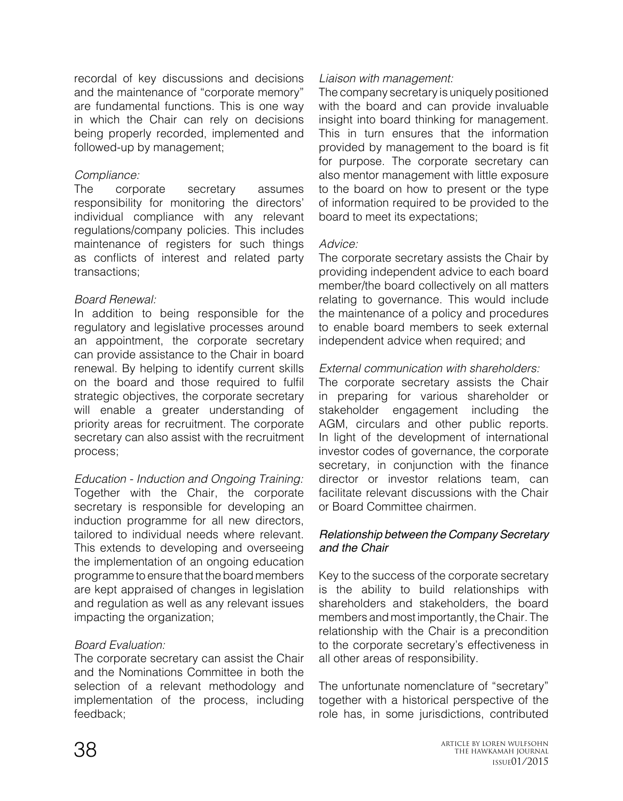recordal of key discussions and decisions and the maintenance of "corporate memory" are fundamental functions. This is one way in which the Chair can rely on decisions being properly recorded, implemented and followed-up by management;

## *Compliance:*

The corporate secretary assumes responsibility for monitoring the directors' individual compliance with any relevant regulations/company policies. This includes maintenance of registers for such things as conflicts of interest and related party transactions;

# *Board Renewal:*

In addition to being responsible for the regulatory and legislative processes around an appointment, the corporate secretary can provide assistance to the Chair in board renewal. By helping to identify current skills on the board and those required to fulfil strategic objectives, the corporate secretary will enable a greater understanding of priority areas for recruitment. The corporate secretary can also assist with the recruitment process;

*Education - Induction and Ongoing Training:* Together with the Chair, the corporate secretary is responsible for developing an induction programme for all new directors, tailored to individual needs where relevant. This extends to developing and overseeing the implementation of an ongoing education programme to ensure that the board members are kept appraised of changes in legislation and regulation as well as any relevant issues impacting the organization;

# *Board Evaluation:*

The corporate secretary can assist the Chair and the Nominations Committee in both the selection of a relevant methodology and implementation of the process, including feedback;

### *Liaison with management:*

The company secretary is uniquely positioned with the board and can provide invaluable insight into board thinking for management. This in turn ensures that the information provided by management to the board is fit for purpose. The corporate secretary can also mentor management with little exposure to the board on how to present or the type of information required to be provided to the board to meet its expectations;

## *Advice:*

The corporate secretary assists the Chair by providing independent advice to each board member/the board collectively on all matters relating to governance. This would include the maintenance of a policy and procedures to enable board members to seek external independent advice when required; and

# *External communication with shareholders:*

The corporate secretary assists the Chair in preparing for various shareholder or stakeholder engagement including the AGM, circulars and other public reports. In light of the development of international investor codes of governance, the corporate secretary, in conjunction with the finance director or investor relations team, can facilitate relevant discussions with the Chair or Board Committee chairmen.

### *Relationship between the Company Secretary and the Chair*

Key to the success of the corporate secretary is the ability to build relationships with shareholders and stakeholders, the board members and most importantly, the Chair. The relationship with the Chair is a precondition to the corporate secretary's effectiveness in all other areas of responsibility.

The unfortunate nomenclature of "secretary" together with a historical perspective of the role has, in some jurisdictions, contributed